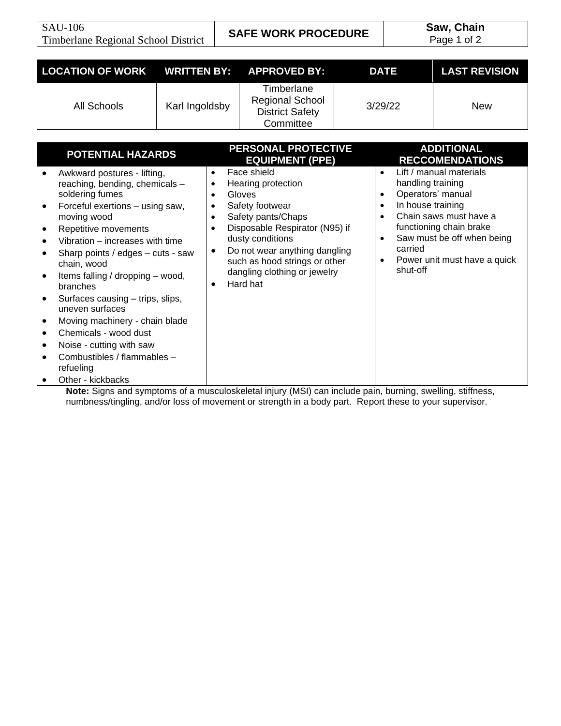SAU-106 Timberlane Regional School District **SAFE WORK PROCEDURE Saw, Chain**<br>
Page 1 of 2

Page 1 of 2

| <b>LOCATION OF WORK</b>                                                                                                                                                                                                                                                                                                                                                                                                                                                                                                                              | <b>WRITTEN BY:</b>                                                                                   | <b>APPROVED BY:</b>                                                                                                                                                                                                                                                                                       | <b>DATE</b>                                                                                                                                 | <b>LAST REVISION</b>                                                                                                                                                                                           |
|------------------------------------------------------------------------------------------------------------------------------------------------------------------------------------------------------------------------------------------------------------------------------------------------------------------------------------------------------------------------------------------------------------------------------------------------------------------------------------------------------------------------------------------------------|------------------------------------------------------------------------------------------------------|-----------------------------------------------------------------------------------------------------------------------------------------------------------------------------------------------------------------------------------------------------------------------------------------------------------|---------------------------------------------------------------------------------------------------------------------------------------------|----------------------------------------------------------------------------------------------------------------------------------------------------------------------------------------------------------------|
| <b>All Schools</b>                                                                                                                                                                                                                                                                                                                                                                                                                                                                                                                                   | Karl Ingoldsby                                                                                       | Timberlane<br><b>Regional School</b><br><b>District Safety</b><br>Committee                                                                                                                                                                                                                               | 3/29/22                                                                                                                                     | <b>New</b>                                                                                                                                                                                                     |
| <b>POTENTIAL HAZARDS</b><br>Awkward postures - lifting,<br>$\bullet$<br>reaching, bending, chemicals -<br>soldering fumes<br>Forceful exertions - using saw,<br>$\bullet$<br>moving wood<br>Repetitive movements<br>٠<br>Vibration – increases with time<br>$\bullet$<br>Sharp points / edges - cuts - saw<br>$\bullet$<br>chain, wood<br>Items falling / dropping - wood,<br>$\bullet$<br>branches<br>Surfaces causing - trips, slips,<br>$\bullet$<br>uneven surfaces<br>Moving machinery - chain blade<br>٠<br>Chemicals - wood dust<br>$\bullet$ | $\bullet$<br>$\bullet$<br>$\bullet$<br>$\bullet$<br>$\bullet$<br>$\bullet$<br>$\bullet$<br>$\bullet$ | PERSONAL PROTECTIVE<br><b>EQUIPMENT (PPE)</b><br>Face shield<br>Hearing protection<br>Gloves<br>Safety footwear<br>Safety pants/Chaps<br>Disposable Respirator (N95) if<br>dusty conditions<br>Do not wear anything dangling<br>such as hood strings or other<br>dangling clothing or jewelry<br>Hard hat | $\bullet$<br>handling training<br>$\bullet$<br>In house training<br>$\bullet$<br>$\bullet$<br>$\bullet$<br>carried<br>$\bullet$<br>shut-off | <b>ADDITIONAL</b><br><b>RECCOMENDATIONS</b><br>Lift / manual materials<br>Operators' manual<br>Chain saws must have a<br>functioning chain brake<br>Saw must be off when being<br>Power unit must have a quick |
| Noise - cutting with saw<br>٠<br>Combustibles / flammables -<br>$\bullet$<br>refueling<br>Other - kickbacks                                                                                                                                                                                                                                                                                                                                                                                                                                          |                                                                                                      |                                                                                                                                                                                                                                                                                                           |                                                                                                                                             |                                                                                                                                                                                                                |

**Note:** Signs and symptoms of a musculoskeletal injury (MSI) can include pain, burning, swelling, stiffness, numbness/tingling, and/or loss of movement or strength in a body part. Report these to your supervisor.